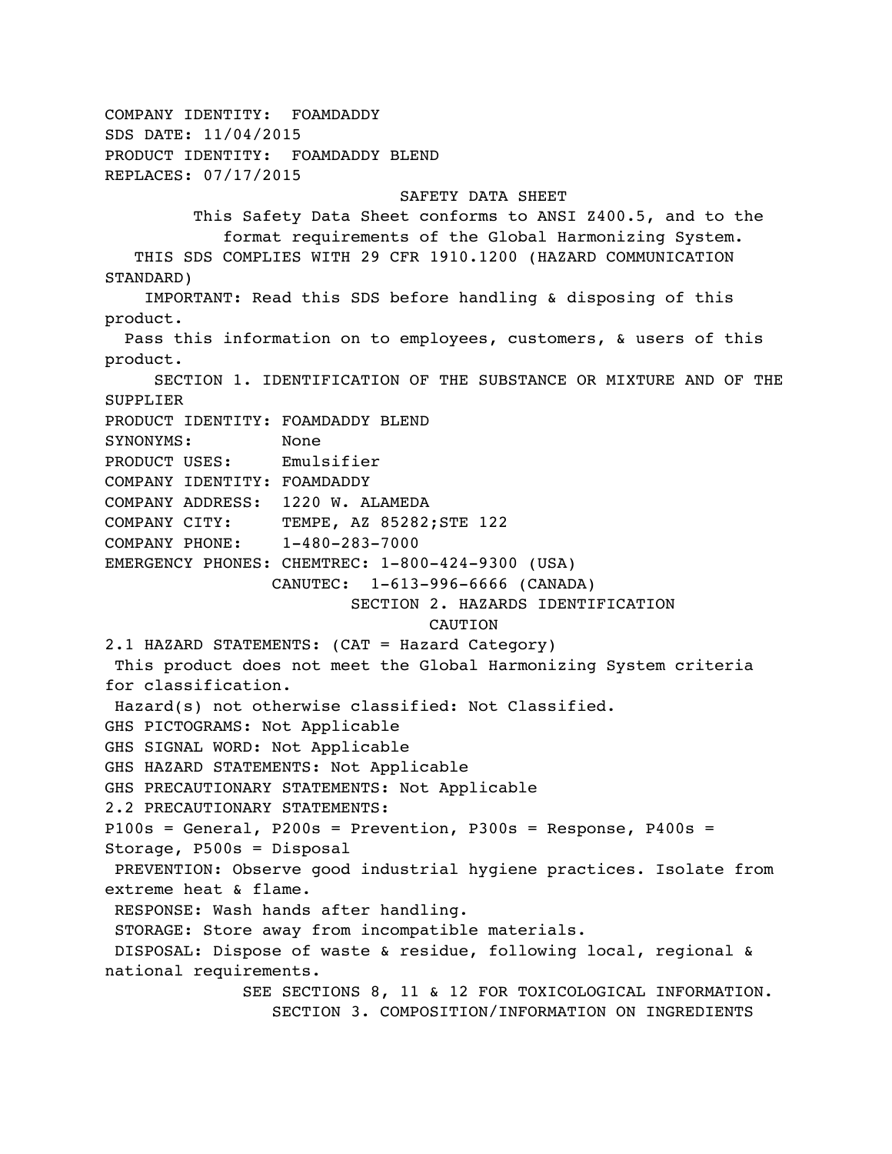```
COMPANY IDENTITY: FOAMDADDY 
SDS DATE: 11/04/2015 
PRODUCT IDENTITY: FOAMDADDY BLEND 
REPLACES: 07/17/2015 
                               SAFETY DATA SHEET 
          This Safety Data Sheet conforms to ANSI Z400.5, and to the 
             format requirements of the Global Harmonizing System. 
    THIS SDS COMPLIES WITH 29 CFR 1910.1200 (HAZARD COMMUNICATION 
STANDARD) 
     IMPORTANT: Read this SDS before handling & disposing of this 
product. 
   Pass this information on to employees, customers, & users of this 
product. 
      SECTION 1. IDENTIFICATION OF THE SUBSTANCE OR MIXTURE AND OF THE 
SUPPLIER 
PRODUCT IDENTITY: FOAMDADDY BLEND 
SYNONYMS: None 
PRODUCT USES: Emulsifier 
COMPANY IDENTITY: FOAMDADDY 
COMPANY ADDRESS: 1220 W. ALAMEDA 
COMPANY CITY: TEMPE, AZ 85282; STE 122
COMPANY PHONE: 1-480-283-7000 
EMERGENCY PHONES: CHEMTREC: 1-800-424-9300 (USA) 
                  CANUTEC: 1-613-996-6666 (CANADA) 
                          SECTION 2. HAZARDS IDENTIFICATION 
                                  CAUTION
2.1 HAZARD STATEMENTS: (CAT = Hazard Category) 
 This product does not meet the Global Harmonizing System criteria 
for classification.
 Hazard(s) not otherwise classified: Not Classified.
GHS PICTOGRAMS: Not Applicable
GHS SIGNAL WORD: Not Applicable
GHS HAZARD STATEMENTS: Not Applicable
GHS PRECAUTIONARY STATEMENTS: Not Applicable
2.2 PRECAUTIONARY STATEMENTS: 
P100s = General, P200s = Prevention, P300s = Response, P400s = 
Storage, P500s = Disposal
 PREVENTION: Observe good industrial hygiene practices. Isolate from 
extreme heat & flame.
 RESPONSE: Wash hands after handling.
  STORAGE: Store away from incompatible materials.
 DISPOSAL: Dispose of waste & residue, following local, regional & 
national requirements.
               SEE SECTIONS 8, 11 & 12 FOR TOXICOLOGICAL INFORMATION. 
                  SECTION 3. COMPOSITION/INFORMATION ON INGREDIENTS
```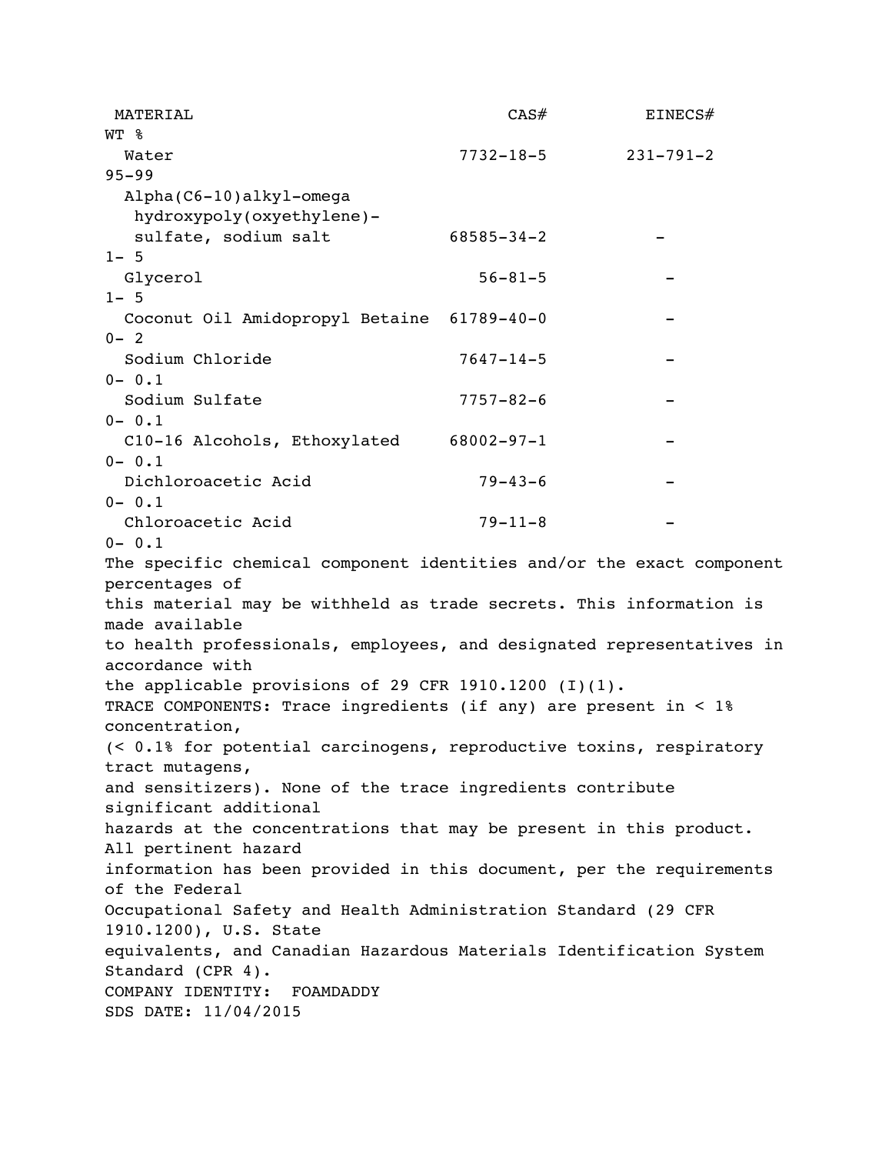| MATERIAL                                                                             | CAS#             | EINECS#         |
|--------------------------------------------------------------------------------------|------------------|-----------------|
| WT %                                                                                 |                  |                 |
| Water                                                                                | $7732 - 18 - 5$  | $231 - 791 - 2$ |
| $95 - 99$                                                                            |                  |                 |
| Alpha(C6-10)alkyl-omega                                                              |                  |                 |
| hydroxypoly(oxyethylene)-                                                            |                  |                 |
| sulfate, sodium salt                                                                 | $68585 - 34 - 2$ |                 |
| $1 - 5$                                                                              |                  |                 |
| Glycerol                                                                             | $56 - 81 - 5$    |                 |
| $1 - 5$                                                                              |                  |                 |
| Coconut Oil Amidopropyl Betaine 61789-40-0                                           |                  |                 |
| $0 - 2$                                                                              |                  |                 |
| Sodium Chloride                                                                      | $7647 - 14 - 5$  |                 |
| $0 - 0.1$                                                                            |                  |                 |
| Sodium Sulfate                                                                       | $7757 - 82 - 6$  |                 |
| $0 - 0.1$                                                                            |                  |                 |
| C10-16 Alcohols, Ethoxylated 68002-97-1                                              |                  |                 |
| $0 - 0.1$                                                                            |                  |                 |
| Dichloroacetic Acid                                                                  | $79 - 43 - 6$    |                 |
| $0 - 0.1$                                                                            |                  |                 |
| Chloroacetic Acid                                                                    | $79 - 11 - 8$    |                 |
| $0 - 0.1$                                                                            |                  |                 |
| The specific chemical component identities and/or the exact component                |                  |                 |
| percentages of                                                                       |                  |                 |
| this material may be withheld as trade secrets. This information is                  |                  |                 |
| made available                                                                       |                  |                 |
| to health professionals, employees, and designated representatives in                |                  |                 |
| accordance with                                                                      |                  |                 |
| the applicable provisions of 29 CFR 1910.1200 $(I)(1)$ .                             |                  |                 |
| TRACE COMPONENTS: Trace ingredients (if any) are present in < 1%                     |                  |                 |
| concentration,                                                                       |                  |                 |
| (< 0.1% for potential carcinogens, reproductive toxins, respiratory                  |                  |                 |
| tract mutagens,                                                                      |                  |                 |
| and sensitizers). None of the trace ingredients contribute<br>significant additional |                  |                 |
| hazards at the concentrations that may be present in this product.                   |                  |                 |
| All pertinent hazard                                                                 |                  |                 |
| information has been provided in this document, per the requirements                 |                  |                 |
| of the Federal                                                                       |                  |                 |
| Occupational Safety and Health Administration Standard (29 CFR                       |                  |                 |
| 1910.1200), U.S. State                                                               |                  |                 |
| equivalents, and Canadian Hazardous Materials Identification System                  |                  |                 |
| Standard (CPR 4).                                                                    |                  |                 |
| COMPANY IDENTITY: FOAMDADDY                                                          |                  |                 |
| SDS DATE: 11/04/2015                                                                 |                  |                 |
|                                                                                      |                  |                 |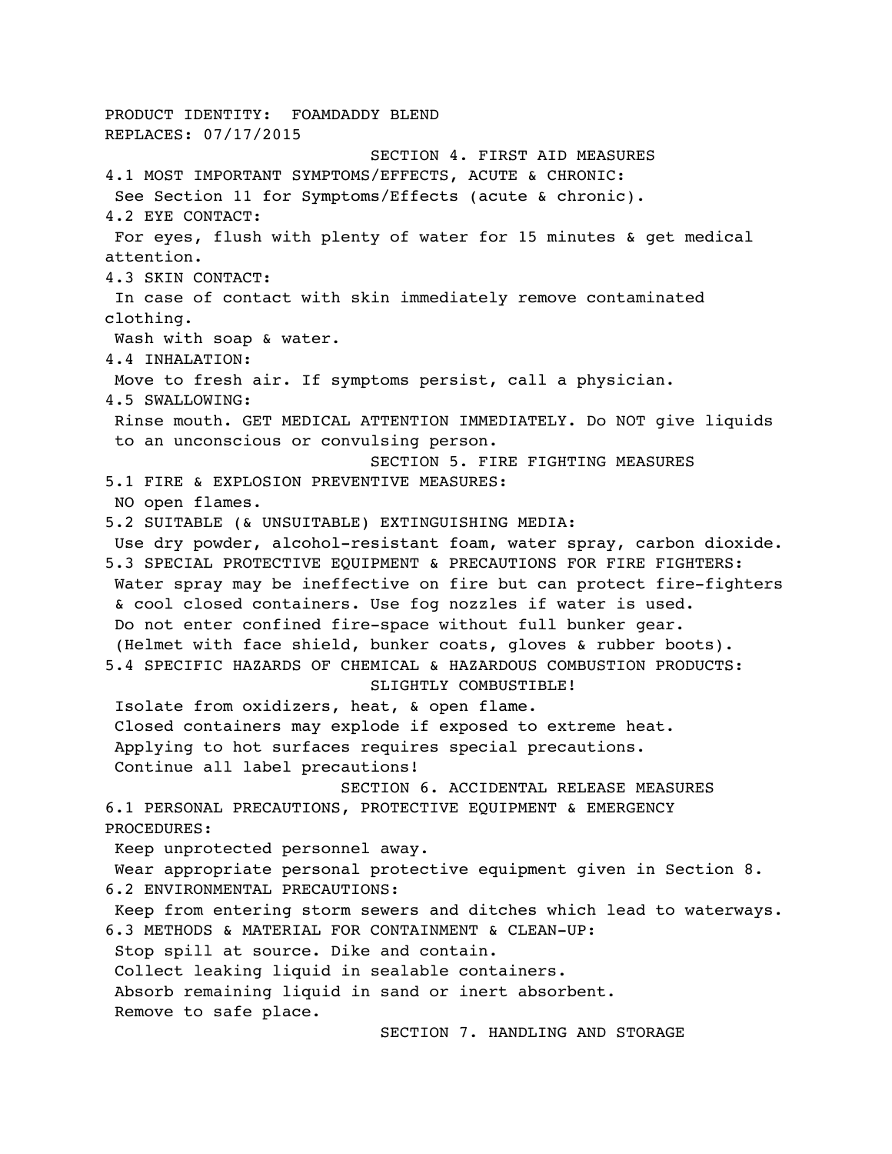PRODUCT IDENTITY: FOAMDADDY BLEND REPLACES: 07/17/2015 SECTION 4. FIRST AID MEASURES 4.1 MOST IMPORTANT SYMPTOMS/EFFECTS, ACUTE & CHRONIC: See Section 11 for Symptoms/Effects (acute & chronic). 4.2 EYE CONTACT: For eyes, flush with plenty of water for 15 minutes & get medical attention. 4.3 SKIN CONTACT: In case of contact with skin immediately remove contaminated clothing. Wash with soap & water. 4.4 INHALATION: Move to fresh air. If symptoms persist, call a physician. 4.5 SWALLOWING: Rinse mouth. GET MEDICAL ATTENTION IMMEDIATELY. Do NOT give liquids to an unconscious or convulsing person. SECTION 5. FIRE FIGHTING MEASURES 5.1 FIRE & EXPLOSION PREVENTIVE MEASURES: NO open flames. 5.2 SUITABLE (& UNSUITABLE) EXTINGUISHING MEDIA: Use dry powder, alcohol-resistant foam, water spray, carbon dioxide. 5.3 SPECIAL PROTECTIVE EQUIPMENT & PRECAUTIONS FOR FIRE FIGHTERS: Water spray may be ineffective on fire but can protect fire-fighters & cool closed containers. Use fog nozzles if water is used. Do not enter confined fire-space without full bunker gear. (Helmet with face shield, bunker coats, gloves & rubber boots). 5.4 SPECIFIC HAZARDS OF CHEMICAL & HAZARDOUS COMBUSTION PRODUCTS: SLIGHTLY COMBUSTIBLE! Isolate from oxidizers, heat, & open flame. Closed containers may explode if exposed to extreme heat. Applying to hot surfaces requires special precautions. Continue all label precautions! SECTION 6. ACCIDENTAL RELEASE MEASURES 6.1 PERSONAL PRECAUTIONS, PROTECTIVE EQUIPMENT & EMERGENCY PROCEDURES: Keep unprotected personnel away. Wear appropriate personal protective equipment given in Section 8. 6.2 ENVIRONMENTAL PRECAUTIONS: Keep from entering storm sewers and ditches which lead to waterways. 6.3 METHODS & MATERIAL FOR CONTAINMENT & CLEAN-UP: Stop spill at source. Dike and contain. Collect leaking liquid in sealable containers. Absorb remaining liquid in sand or inert absorbent. Remove to safe place. SECTION 7. HANDLING AND STORAGE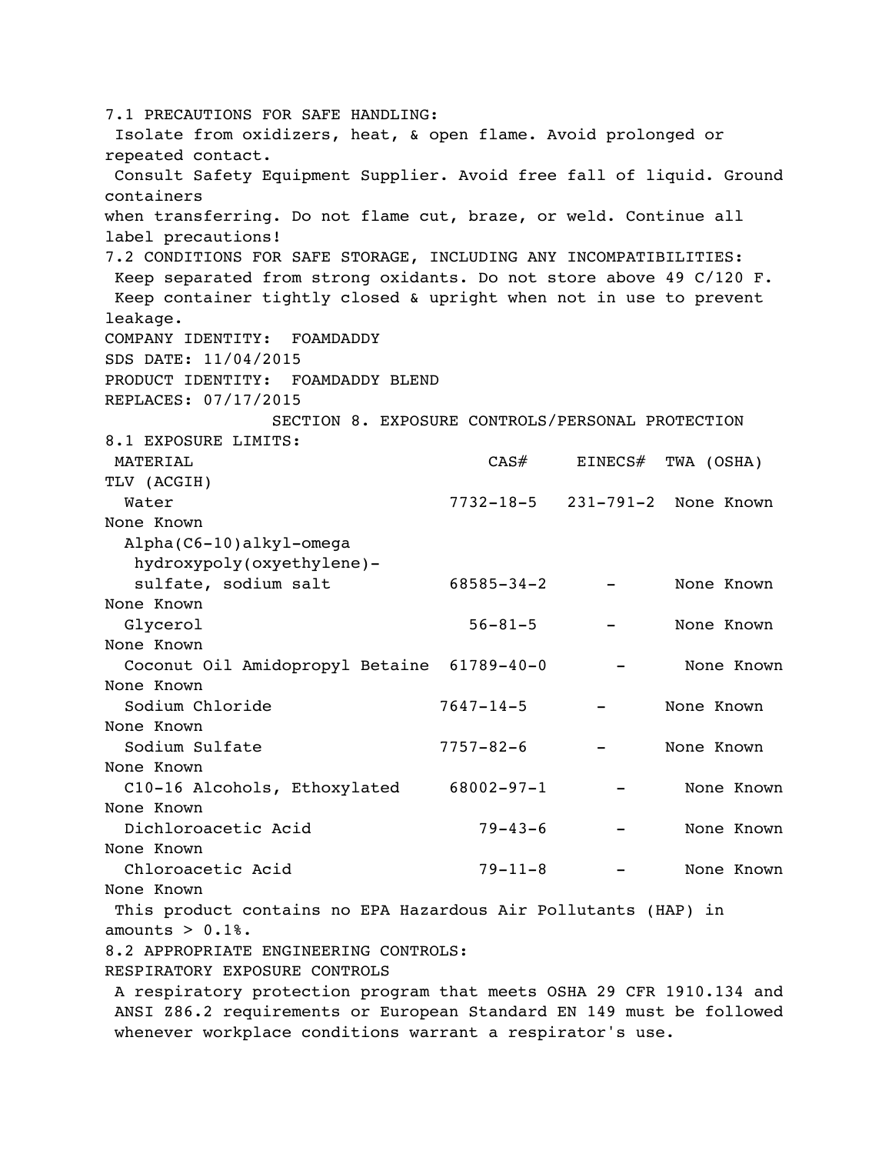7.1 PRECAUTIONS FOR SAFE HANDLING: Isolate from oxidizers, heat, & open flame. Avoid prolonged or repeated contact. Consult Safety Equipment Supplier. Avoid free fall of liquid. Ground containers when transferring. Do not flame cut, braze, or weld. Continue all label precautions! 7.2 CONDITIONS FOR SAFE STORAGE, INCLUDING ANY INCOMPATIBILITIES: Keep separated from strong oxidants. Do not store above 49 C/120 F. Keep container tightly closed & upright when not in use to prevent leakage. COMPANY IDENTITY: FOAMDADDY SDS DATE: 11/04/2015 PRODUCT IDENTITY: FOAMDADDY BLEND REPLACES: 07/17/2015 SECTION 8. EXPOSURE CONTROLS/PERSONAL PROTECTION 8.1 EXPOSURE LIMITS: MATERIAL CAS# EINECS# TWA (OSHA) TLV (ACGIH) Water 7732-18-5 231-791-2 None Known None Known Alpha(C6-10)alkyl-omega hydroxypoly(oxyethylene) sulfate, sodium salt  $68585-34-2$  - None Known None Known Glycerol 56-81-5 - None Known None Known Coconut Oil Amidopropyl Betaine 61789-40-0 - None Known None Known Sodium Chloride 7647-14-5 - None Known None Known Sodium Sulfate 7757-82-6 - None Known None Known C10-16 Alcohols, Ethoxylated 68002-97-1 - None Known None Known Dichloroacetic Acid 79-43-6 - None Known None Known Chloroacetic Acid 79-11-8 - None Known None Known This product contains no EPA Hazardous Air Pollutants (HAP) in amounts  $> 0.1$ %. 8.2 APPROPRIATE ENGINEERING CONTROLS: RESPIRATORY EXPOSURE CONTROLS A respiratory protection program that meets OSHA 29 CFR 1910.134 and ANSI Z86.2 requirements or European Standard EN 149 must be followed whenever workplace conditions warrant a respirator's use.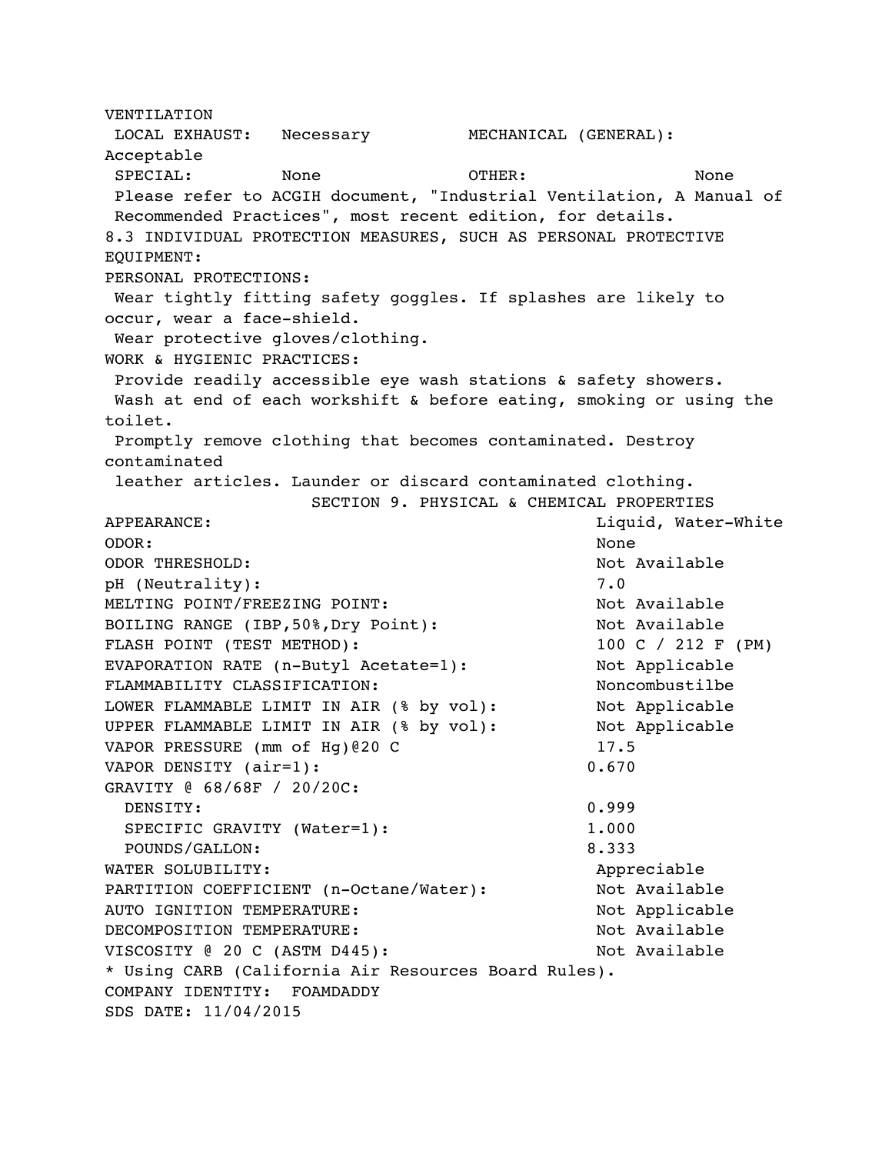VENTILATION LOCAL EXHAUST: Necessary MECHANICAL (GENERAL): Acceptable SPECIAL: None OTHER: None Please refer to ACGIH document, "Industrial Ventilation, A Manual of Recommended Practices", most recent edition, for details. 8.3 INDIVIDUAL PROTECTION MEASURES, SUCH AS PERSONAL PROTECTIVE EQUIPMENT: PERSONAL PROTECTIONS: Wear tightly fitting safety goggles. If splashes are likely to occur, wear a face-shield. Wear protective gloves/clothing. WORK & HYGIENIC PRACTICES: Provide readily accessible eye wash stations & safety showers. Wash at end of each workshift & before eating, smoking or using the toilet. Promptly remove clothing that becomes contaminated. Destroy contaminated leather articles. Launder or discard contaminated clothing. SECTION 9. PHYSICAL & CHEMICAL PROPERTIES APPEARANCE: Liquid, Water-White ODOR: None ODOR THRESHOLD: Not Available pH (Neutrality): 7.0 MELTING POINT/FREEZING POINT: Not Available BOILING RANGE (IBP,50%,Dry Point): Not Available FLASH POINT (TEST METHOD): 100 C / 212 F (PM) EVAPORATION RATE (n-Butyl Acetate=1): Not Applicable FLAMMABILITY CLASSIFICATION: Noncombustilbe LOWER FLAMMABLE LIMIT IN AIR (% by vol): Not Applicable UPPER FLAMMABLE LIMIT IN AIR (% by vol): Not Applicable VAPOR PRESSURE (mm of Hg)@20 C 17.5 VAPOR DENSITY (air=1): 0.670 GRAVITY @ 68/68F / 20/20C: DENSITY: 0.999 SPECIFIC GRAVITY (Water=1): 1.000 POUNDS/GALLON: 8.333 WATER SOLUBILITY: Appreciable PARTITION COEFFICIENT (n-Octane/Water): Not Available AUTO IGNITION TEMPERATURE: Not Applicable DECOMPOSITION TEMPERATURE: Not Available VISCOSITY @ 20 C (ASTM D445): Not Available \* Using CARB (California Air Resources Board Rules). COMPANY IDENTITY: FOAMDADDY SDS DATE: 11/04/2015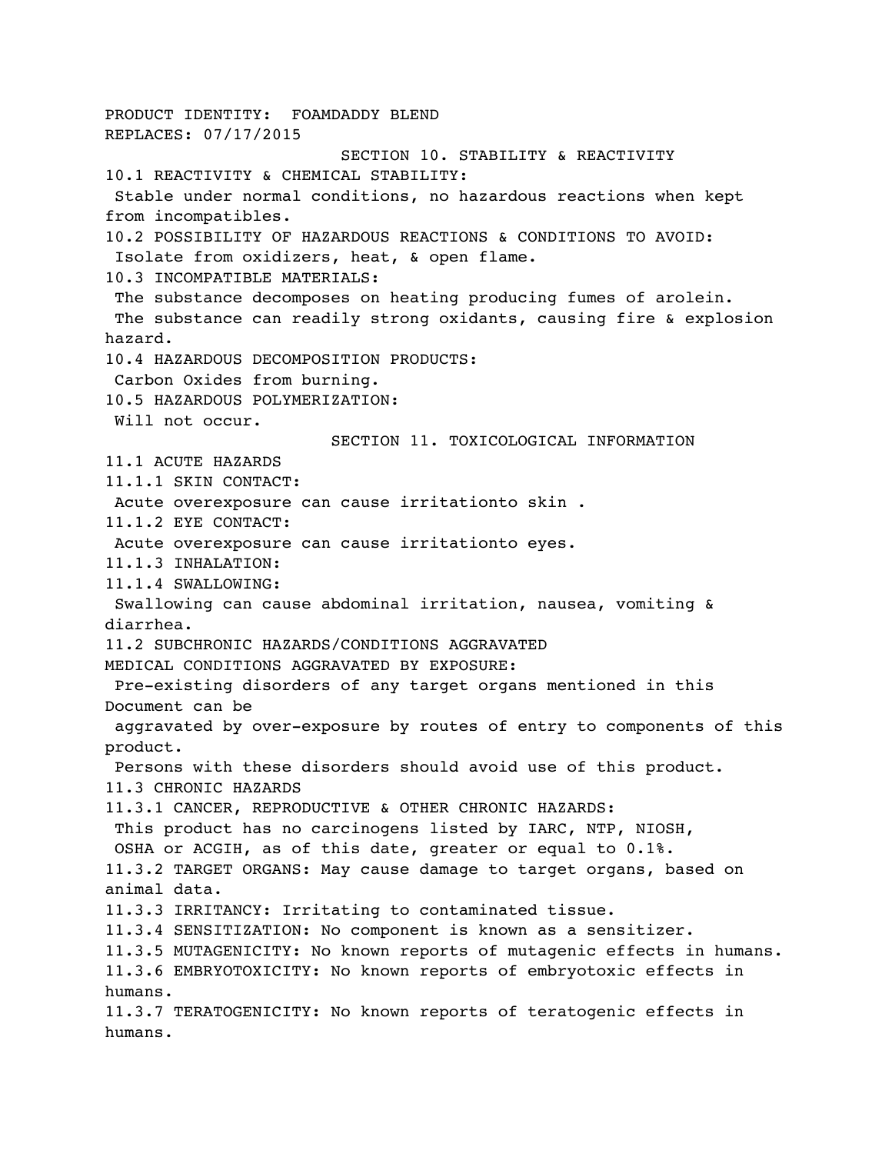PRODUCT IDENTITY: FOAMDADDY BLEND REPLACES: 07/17/2015 SECTION 10. STABILITY & REACTIVITY 10.1 REACTIVITY & CHEMICAL STABILITY: Stable under normal conditions, no hazardous reactions when kept from incompatibles. 10.2 POSSIBILITY OF HAZARDOUS REACTIONS & CONDITIONS TO AVOID: Isolate from oxidizers, heat, & open flame. 10.3 INCOMPATIBLE MATERIALS: The substance decomposes on heating producing fumes of arolein. The substance can readily strong oxidants, causing fire & explosion hazard. 10.4 HAZARDOUS DECOMPOSITION PRODUCTS: Carbon Oxides from burning. 10.5 HAZARDOUS POLYMERIZATION: Will not occur. SECTION 11. TOXICOLOGICAL INFORMATION 11.1 ACUTE HAZARDS 11.1.1 SKIN CONTACT: Acute overexposure can cause irritationto skin . 11.1.2 EYE CONTACT: Acute overexposure can cause irritationto eyes. 11.1.3 INHALATION: 11.1.4 SWALLOWING: Swallowing can cause abdominal irritation, nausea, vomiting & diarrhea. 11.2 SUBCHRONIC HAZARDS/CONDITIONS AGGRAVATED MEDICAL CONDITIONS AGGRAVATED BY EXPOSURE: Pre-existing disorders of any target organs mentioned in this Document can be aggravated by over-exposure by routes of entry to components of this product. Persons with these disorders should avoid use of this product. 11.3 CHRONIC HAZARDS 11.3.1 CANCER, REPRODUCTIVE & OTHER CHRONIC HAZARDS: This product has no carcinogens listed by IARC, NTP, NIOSH, OSHA or ACGIH, as of this date, greater or equal to 0.1%. 11.3.2 TARGET ORGANS: May cause damage to target organs, based on animal data. 11.3.3 IRRITANCY: Irritating to contaminated tissue. 11.3.4 SENSITIZATION: No component is known as a sensitizer. 11.3.5 MUTAGENICITY: No known reports of mutagenic effects in humans. 11.3.6 EMBRYOTOXICITY: No known reports of embryotoxic effects in humans. 11.3.7 TERATOGENICITY: No known reports of teratogenic effects in humans.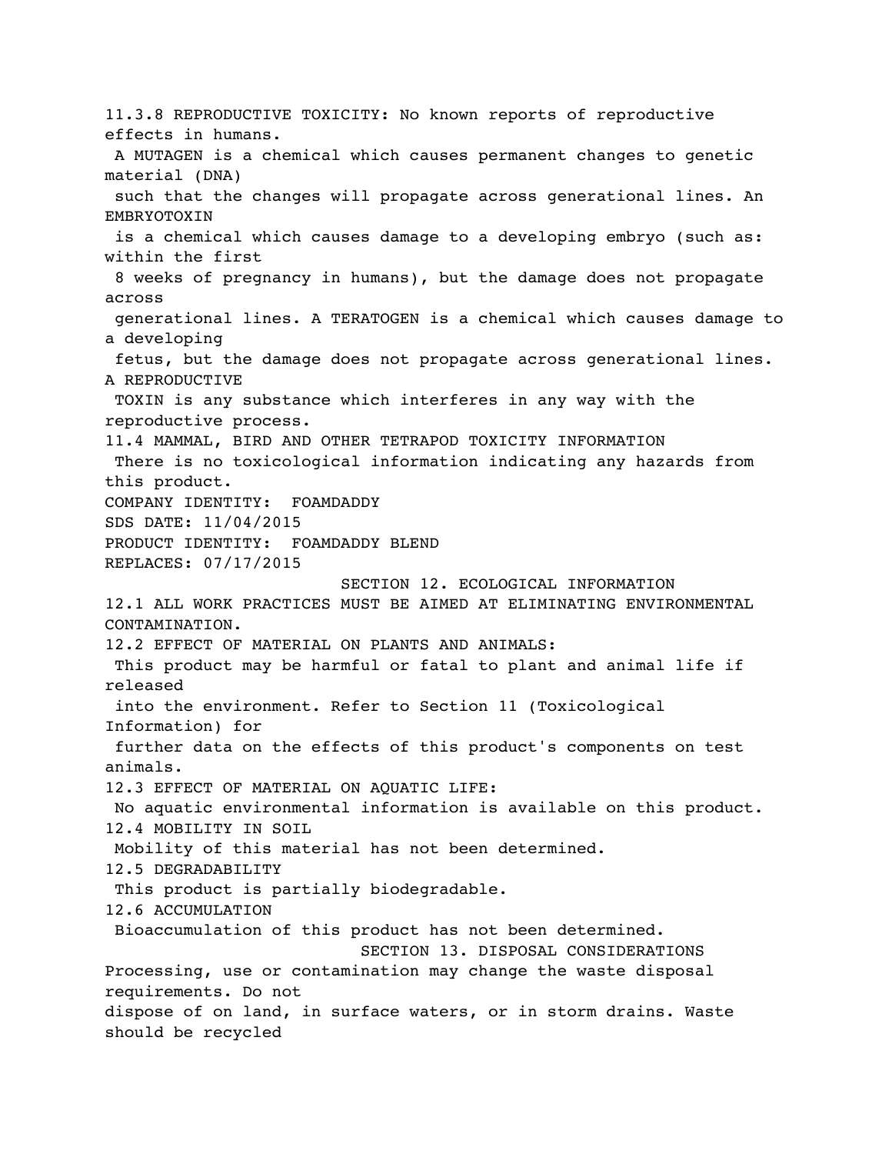11.3.8 REPRODUCTIVE TOXICITY: No known reports of reproductive effects in humans. A MUTAGEN is a chemical which causes permanent changes to genetic material (DNA) such that the changes will propagate across generational lines. An EMBRYOTOXIN is a chemical which causes damage to a developing embryo (such as: within the first 8 weeks of pregnancy in humans), but the damage does not propagate across generational lines. A TERATOGEN is a chemical which causes damage to a developing fetus, but the damage does not propagate across generational lines. A REPRODUCTIVE TOXIN is any substance which interferes in any way with the reproductive process. 11.4 MAMMAL, BIRD AND OTHER TETRAPOD TOXICITY INFORMATION There is no toxicological information indicating any hazards from this product. COMPANY IDENTITY: FOAMDADDY SDS DATE: 11/04/2015 PRODUCT IDENTITY: FOAMDADDY BLEND REPLACES: 07/17/2015 SECTION 12. ECOLOGICAL INFORMATION 12.1 ALL WORK PRACTICES MUST BE AIMED AT ELIMINATING ENVIRONMENTAL CONTAMINATION. 12.2 EFFECT OF MATERIAL ON PLANTS AND ANIMALS: This product may be harmful or fatal to plant and animal life if released into the environment. Refer to Section 11 (Toxicological Information) for further data on the effects of this product's components on test animals. 12.3 EFFECT OF MATERIAL ON AQUATIC LIFE: No aquatic environmental information is available on this product. 12.4 MOBILITY IN SOIL Mobility of this material has not been determined. 12.5 DEGRADABILITY This product is partially biodegradable. 12.6 ACCUMULATION Bioaccumulation of this product has not been determined. SECTION 13. DISPOSAL CONSIDERATIONS Processing, use or contamination may change the waste disposal requirements. Do not dispose of on land, in surface waters, or in storm drains. Waste should be recycled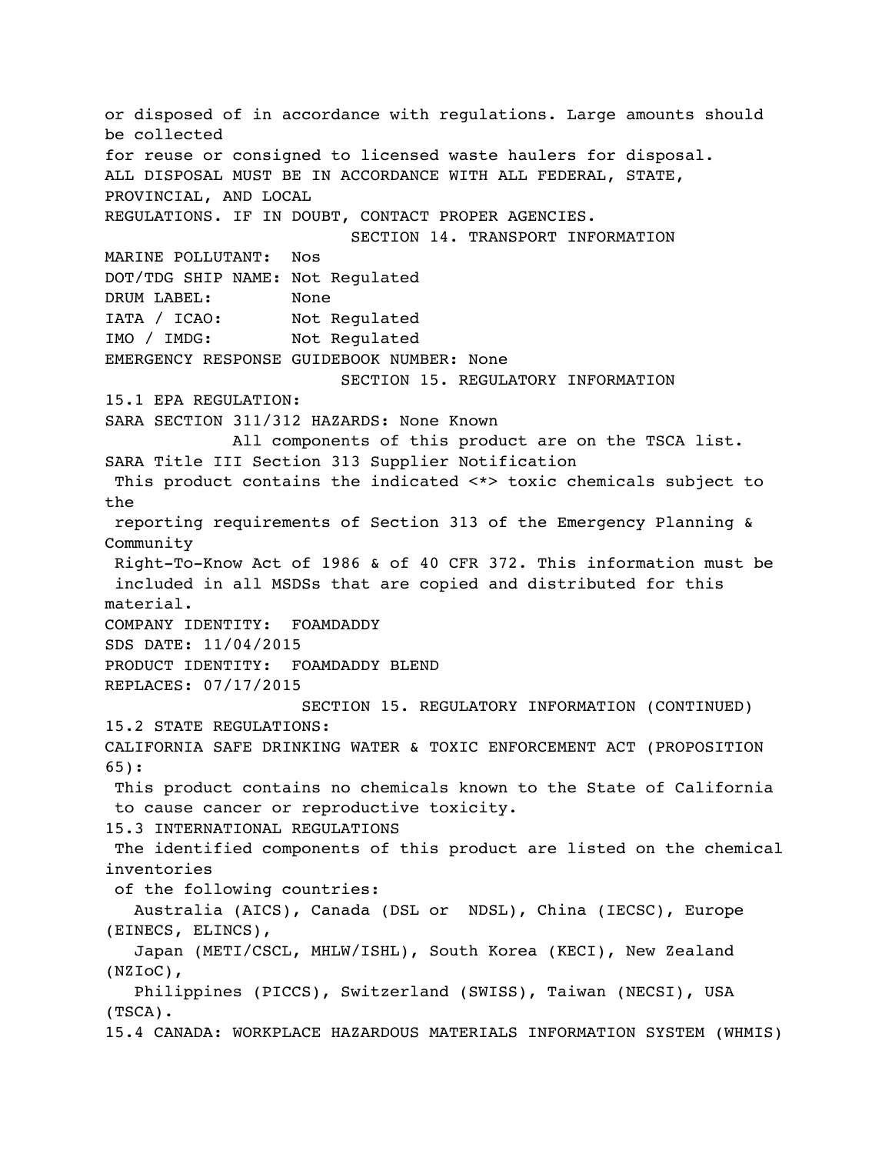or disposed of in accordance with regulations. Large amounts should be collected for reuse or consigned to licensed waste haulers for disposal. ALL DISPOSAL MUST BE IN ACCORDANCE WITH ALL FEDERAL, STATE, PROVINCIAL, AND LOCAL REGULATIONS. IF IN DOUBT, CONTACT PROPER AGENCIES. SECTION 14. TRANSPORT INFORMATION MARINE POLLUTANT: Nos DOT/TDG SHIP NAME: Not Regulated DRUM LABEL: None IATA / ICAO: Not Regulated IMO / IMDG: Not Regulated EMERGENCY RESPONSE GUIDEBOOK NUMBER: None SECTION 15. REGULATORY INFORMATION 15.1 EPA REGULATION: SARA SECTION 311/312 HAZARDS: None Known All components of this product are on the TSCA list. SARA Title III Section 313 Supplier Notification This product contains the indicated <\*> toxic chemicals subject to the reporting requirements of Section 313 of the Emergency Planning & Community Right-To-Know Act of 1986 & of 40 CFR 372. This information must be included in all MSDSs that are copied and distributed for this material. COMPANY IDENTITY: FOAMDADDY SDS DATE: 11/04/2015 PRODUCT IDENTITY: FOAMDADDY BLEND REPLACES: 07/17/2015 SECTION 15. REGULATORY INFORMATION (CONTINUED) 15.2 STATE REGULATIONS: CALIFORNIA SAFE DRINKING WATER & TOXIC ENFORCEMENT ACT (PROPOSITION 65): This product contains no chemicals known to the State of California to cause cancer or reproductive toxicity. 15.3 INTERNATIONAL REGULATIONS The identified components of this product are listed on the chemical inventories of the following countries: Australia (AICS), Canada (DSL or NDSL), China (IECSC), Europe (EINECS, ELINCS), Japan (METI/CSCL, MHLW/ISHL), South Korea (KECI), New Zealand (NZIoC), Philippines (PICCS), Switzerland (SWISS), Taiwan (NECSI), USA (TSCA). 15.4 CANADA: WORKPLACE HAZARDOUS MATERIALS INFORMATION SYSTEM (WHMIS)